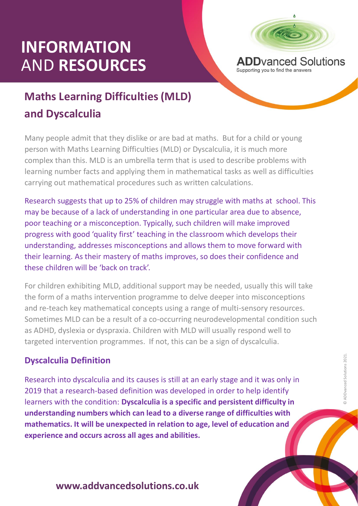# **INFORMATION** AND **RESOURCES**



## **Maths Learning Difficulties (MLD) and Dyscalculia**

Many people admit that they dislike or are bad at maths. But for a child or young person with Maths Learning Difficulties (MLD) or Dyscalculia, it is much more complex than this. MLD is an umbrella term that is used to describe problems with learning number facts and applying them in mathematical tasks as well as difficulties carrying out mathematical procedures such as written calculations.

Research suggests that up to 25% of children may struggle with maths at school. This may be because of a lack of understanding in one particular area due to absence, poor teaching or a misconception. Typically, such children will make improved progress with good 'quality first' teaching in the classroom which develops their understanding, addresses misconceptions and allows them to move forward with their learning. As their mastery of maths improves, so does their confidence and these children will be 'back on track'.

For children exhibiting MLD, additional support may be needed, usually this will take the form of a maths intervention programme to delve deeper into misconceptions and re-teach key mathematical concepts using a range of multi-sensory resources. Sometimes MLD can be a result of a co-occurring neurodevelopmental condition such as ADHD, dyslexia or dyspraxia. Children with MLD will usually respond well to targeted intervention programmes. If not, this can be a sign of dyscalculia.

### **Dyscalculia Definition**

ses is still at an  $\epsilon$ <br>n was developed<br>ulia is a specific Research into dyscalculia and its causes is still at an early stage and it was only in 2019 that a research-based definition was developed in order to help identify learners with the condition: **Dyscalculia is a specific and persistent difficulty in understanding numbers which can lead to a diverse range of difficulties with mathematics. It will be unexpected in relation to age, level of education and experience and occurs across all ages and abilities.** 

#### **www.addvancedsolutions.co.uk**